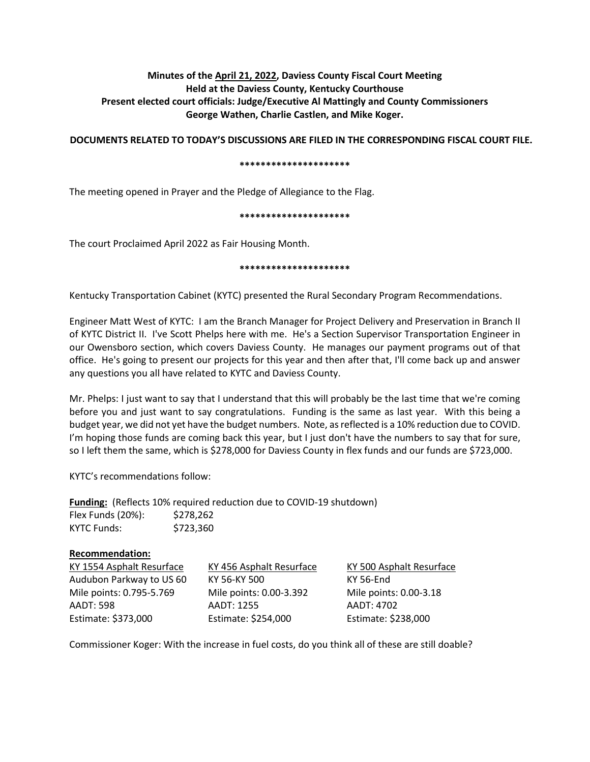# **Minutes of the April 21, 2022, Daviess County Fiscal Court Meeting Held at the Daviess County, Kentucky Courthouse Present elected court officials: Judge/Executive Al Mattingly and County Commissioners George Wathen, Charlie Castlen, and Mike Koger.**

**DOCUMENTS RELATED TO TODAY'S DISCUSSIONS ARE FILED IN THE CORRESPONDING FISCAL COURT FILE.**

### **\*\*\*\*\*\*\*\*\*\*\*\*\*\*\*\*\*\*\*\*\***

The meeting opened in Prayer and the Pledge of Allegiance to the Flag.

### **\*\*\*\*\*\*\*\*\*\*\*\*\*\*\*\*\*\*\*\*\***

The court Proclaimed April 2022 as Fair Housing Month.

### **\*\*\*\*\*\*\*\*\*\*\*\*\*\*\*\*\*\*\*\*\***

Kentucky Transportation Cabinet (KYTC) presented the Rural Secondary Program Recommendations.

Engineer Matt West of KYTC: I am the Branch Manager for Project Delivery and Preservation in Branch II of KYTC District II. I've Scott Phelps here with me. He's a Section Supervisor Transportation Engineer in our Owensboro section, which covers Daviess County. He manages our payment programs out of that office. He's going to present our projects for this year and then after that, I'll come back up and answer any questions you all have related to KYTC and Daviess County.

Mr. Phelps: I just want to say that I understand that this will probably be the last time that we're coming before you and just want to say congratulations. Funding is the same as last year. With this being a budget year, we did not yet have the budget numbers. Note, as reflected is a 10% reduction due to COVID. I'm hoping those funds are coming back this year, but I just don't have the numbers to say that for sure, so I left them the same, which is \$278,000 for Daviess County in flex funds and our funds are \$723,000.

KYTC's recommendations follow:

**Funding:** (Reflects 10% required reduction due to COVID-19 shutdown) Flex Funds (20%): \$278,262 KYTC Funds: \$723,360

## **Recommendation:**

| KY 1554 Asphalt Resurface | KY 456 Asphalt Resurface | KY 500 Asphalt Resurface |
|---------------------------|--------------------------|--------------------------|
| Audubon Parkway to US 60  | KY 56-KY 500             | KY 56-End                |
| Mile points: 0.795-5.769  | Mile points: 0.00-3.392  | Mile points: 0.00-3.18   |
| <b>AADT: 598</b>          | AADT: 1255               | AADT: 4702               |
| Estimate: \$373,000       | Estimate: \$254,000      | Estimate: \$238,000      |

Commissioner Koger: With the increase in fuel costs, do you think all of these are still doable?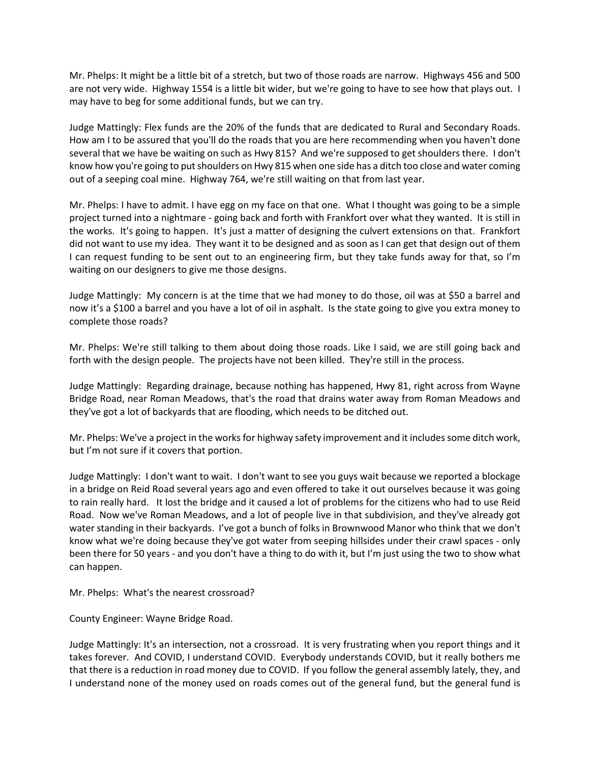Mr. Phelps: It might be a little bit of a stretch, but two of those roads are narrow. Highways 456 and 500 are not very wide. Highway 1554 is a little bit wider, but we're going to have to see how that plays out. I may have to beg for some additional funds, but we can try.

Judge Mattingly: Flex funds are the 20% of the funds that are dedicated to Rural and Secondary Roads. How am I to be assured that you'll do the roads that you are here recommending when you haven't done several that we have be waiting on such as Hwy 815? And we're supposed to get shoulders there. I don't know how you're going to put shoulders on Hwy 815 when one side has a ditch too close and water coming out of a seeping coal mine. Highway 764, we're still waiting on that from last year.

Mr. Phelps: I have to admit. I have egg on my face on that one. What I thought was going to be a simple project turned into a nightmare - going back and forth with Frankfort over what they wanted. It is still in the works. It's going to happen. It's just a matter of designing the culvert extensions on that. Frankfort did not want to use my idea. They want it to be designed and as soon as I can get that design out of them I can request funding to be sent out to an engineering firm, but they take funds away for that, so I'm waiting on our designers to give me those designs.

Judge Mattingly: My concern is at the time that we had money to do those, oil was at \$50 a barrel and now it's a \$100 a barrel and you have a lot of oil in asphalt. Is the state going to give you extra money to complete those roads?

Mr. Phelps: We're still talking to them about doing those roads. Like I said, we are still going back and forth with the design people. The projects have not been killed. They're still in the process.

Judge Mattingly: Regarding drainage, because nothing has happened, Hwy 81, right across from Wayne Bridge Road, near Roman Meadows, that's the road that drains water away from Roman Meadows and they've got a lot of backyards that are flooding, which needs to be ditched out.

Mr. Phelps: We've a project in the works for highway safety improvement and it includes some ditch work, but I'm not sure if it covers that portion.

Judge Mattingly: I don't want to wait. I don't want to see you guys wait because we reported a blockage in a bridge on Reid Road several years ago and even offered to take it out ourselves because it was going to rain really hard. It lost the bridge and it caused a lot of problems for the citizens who had to use Reid Road. Now we've Roman Meadows, and a lot of people live in that subdivision, and they've already got water standing in their backyards. I've got a bunch of folks in Brownwood Manor who think that we don't know what we're doing because they've got water from seeping hillsides under their crawl spaces - only been there for 50 years - and you don't have a thing to do with it, but I'm just using the two to show what can happen.

Mr. Phelps: What's the nearest crossroad?

County Engineer: Wayne Bridge Road.

Judge Mattingly: It's an intersection, not a crossroad. It is very frustrating when you report things and it takes forever. And COVID, I understand COVID. Everybody understands COVID, but it really bothers me that there is a reduction in road money due to COVID. If you follow the general assembly lately, they, and I understand none of the money used on roads comes out of the general fund, but the general fund is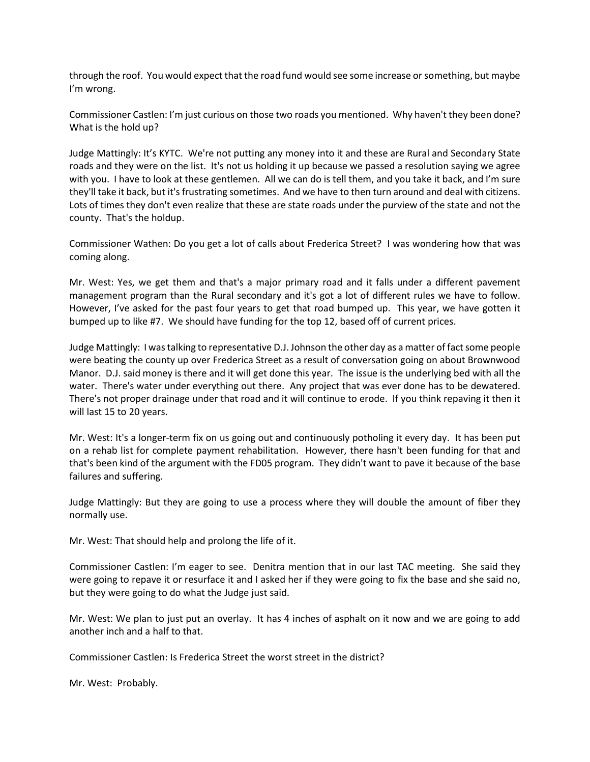through the roof. You would expect that the road fund would see some increase orsomething, but maybe I'm wrong.

Commissioner Castlen: I'm just curious on those two roads you mentioned. Why haven't they been done? What is the hold up?

Judge Mattingly: It's KYTC. We're not putting any money into it and these are Rural and Secondary State roads and they were on the list. It's not us holding it up because we passed a resolution saying we agree with you. I have to look at these gentlemen. All we can do is tell them, and you take it back, and I'm sure they'll take it back, but it's frustrating sometimes. And we have to then turn around and deal with citizens. Lots of times they don't even realize that these are state roads under the purview of the state and not the county. That's the holdup.

Commissioner Wathen: Do you get a lot of calls about Frederica Street? I was wondering how that was coming along.

Mr. West: Yes, we get them and that's a major primary road and it falls under a different pavement management program than the Rural secondary and it's got a lot of different rules we have to follow. However, I've asked for the past four years to get that road bumped up. This year, we have gotten it bumped up to like #7. We should have funding for the top 12, based off of current prices.

Judge Mattingly: I was talking to representative D.J. Johnson the other day as a matter of fact some people were beating the county up over Frederica Street as a result of conversation going on about Brownwood Manor. D.J. said money is there and it will get done this year. The issue is the underlying bed with all the water. There's water under everything out there. Any project that was ever done has to be dewatered. There's not proper drainage under that road and it will continue to erode. If you think repaving it then it will last 15 to 20 years.

Mr. West: It's a longer-term fix on us going out and continuously potholing it every day. It has been put on a rehab list for complete payment rehabilitation. However, there hasn't been funding for that and that's been kind of the argument with the FD05 program. They didn't want to pave it because of the base failures and suffering.

Judge Mattingly: But they are going to use a process where they will double the amount of fiber they normally use.

Mr. West: That should help and prolong the life of it.

Commissioner Castlen: I'm eager to see. Denitra mention that in our last TAC meeting. She said they were going to repave it or resurface it and I asked her if they were going to fix the base and she said no, but they were going to do what the Judge just said.

Mr. West: We plan to just put an overlay. It has 4 inches of asphalt on it now and we are going to add another inch and a half to that.

Commissioner Castlen: Is Frederica Street the worst street in the district?

Mr. West: Probably.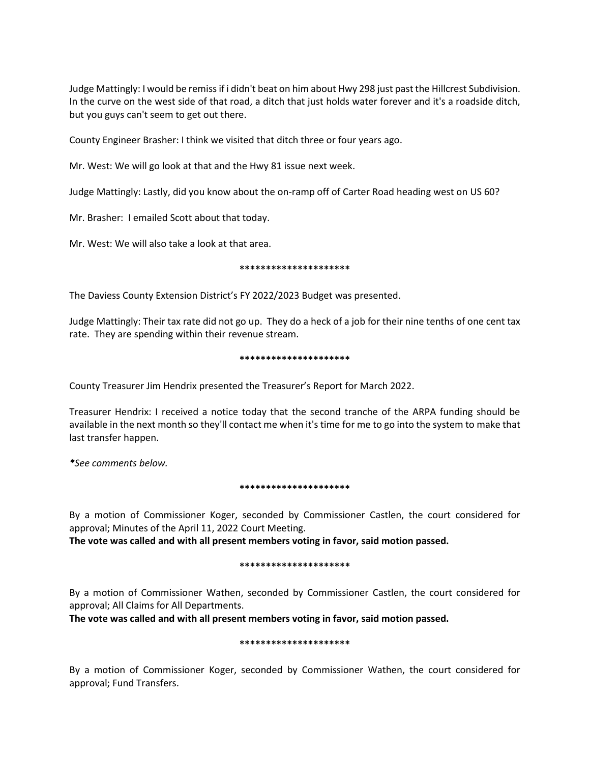Judge Mattingly: I would be remiss if i didn't beat on him about Hwy 298 just past the Hillcrest Subdivision. In the curve on the west side of that road, a ditch that just holds water forever and it's a roadside ditch, but you guys can't seem to get out there.

County Engineer Brasher: I think we visited that ditch three or four years ago.

Mr. West: We will go look at that and the Hwy 81 issue next week.

Judge Mattingly: Lastly, did you know about the on-ramp off of Carter Road heading west on US 60?

Mr. Brasher: I emailed Scott about that today.

Mr. West: We will also take a look at that area.

### **\*\*\*\*\*\*\*\*\*\*\*\*\*\*\*\*\*\*\*\*\***

The Daviess County Extension District's FY 2022/2023 Budget was presented.

Judge Mattingly: Their tax rate did not go up. They do a heck of a job for their nine tenths of one cent tax rate. They are spending within their revenue stream.

#### **\*\*\*\*\*\*\*\*\*\*\*\*\*\*\*\*\*\*\*\*\***

County Treasurer Jim Hendrix presented the Treasurer's Report for March 2022.

Treasurer Hendrix: I received a notice today that the second tranche of the ARPA funding should be available in the next month so they'll contact me when it's time for me to go into the system to make that last transfer happen.

*\*See comments below.*

## **\*\*\*\*\*\*\*\*\*\*\*\*\*\*\*\*\*\*\*\*\***

By a motion of Commissioner Koger, seconded by Commissioner Castlen, the court considered for approval; Minutes of the April 11, 2022 Court Meeting.

**The vote was called and with all present members voting in favor, said motion passed.** 

#### **\*\*\*\*\*\*\*\*\*\*\*\*\*\*\*\*\*\*\*\*\***

By a motion of Commissioner Wathen, seconded by Commissioner Castlen, the court considered for approval; All Claims for All Departments.

**The vote was called and with all present members voting in favor, said motion passed.** 

#### **\*\*\*\*\*\*\*\*\*\*\*\*\*\*\*\*\*\*\*\*\***

By a motion of Commissioner Koger, seconded by Commissioner Wathen, the court considered for approval; Fund Transfers.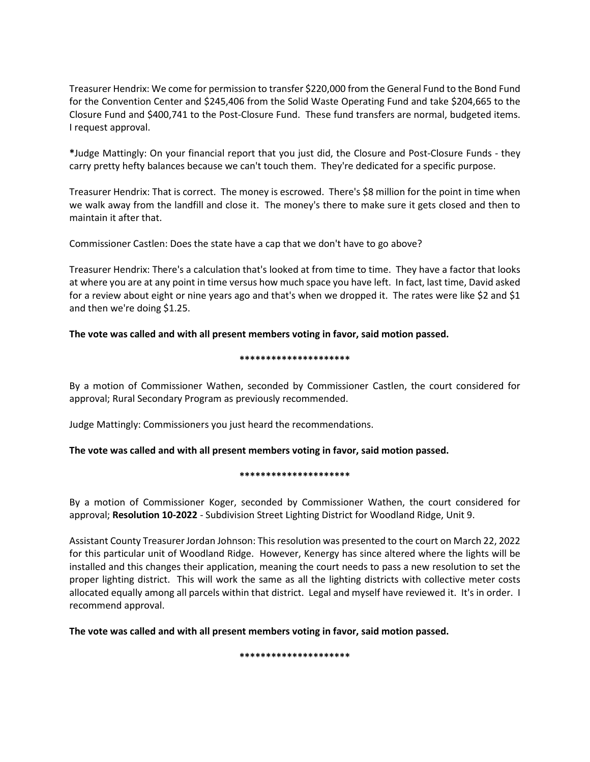Treasurer Hendrix: We come for permission to transfer \$220,000 from the General Fund to the Bond Fund for the Convention Center and \$245,406 from the Solid Waste Operating Fund and take \$204,665 to the Closure Fund and \$400,741 to the Post-Closure Fund. These fund transfers are normal, budgeted items. I request approval.

**\***Judge Mattingly: On your financial report that you just did, the Closure and Post-Closure Funds - they carry pretty hefty balances because we can't touch them. They're dedicated for a specific purpose.

Treasurer Hendrix: That is correct. The money is escrowed. There's \$8 million for the point in time when we walk away from the landfill and close it. The money's there to make sure it gets closed and then to maintain it after that.

Commissioner Castlen: Does the state have a cap that we don't have to go above?

Treasurer Hendrix: There's a calculation that's looked at from time to time. They have a factor that looks at where you are at any point in time versus how much space you have left. In fact, last time, David asked for a review about eight or nine years ago and that's when we dropped it. The rates were like \$2 and \$1 and then we're doing \$1.25.

# **The vote was called and with all present members voting in favor, said motion passed.**

## **\*\*\*\*\*\*\*\*\*\*\*\*\*\*\*\*\*\*\*\*\***

By a motion of Commissioner Wathen, seconded by Commissioner Castlen, the court considered for approval; Rural Secondary Program as previously recommended.

Judge Mattingly: Commissioners you just heard the recommendations.

# **The vote was called and with all present members voting in favor, said motion passed.**

# **\*\*\*\*\*\*\*\*\*\*\*\*\*\*\*\*\*\*\*\*\***

By a motion of Commissioner Koger, seconded by Commissioner Wathen, the court considered for approval; **Resolution 10-2022** - Subdivision Street Lighting District for Woodland Ridge, Unit 9.

Assistant County Treasurer Jordan Johnson: Thisresolution was presented to the court on March 22, 2022 for this particular unit of Woodland Ridge. However, Kenergy has since altered where the lights will be installed and this changes their application, meaning the court needs to pass a new resolution to set the proper lighting district. This will work the same as all the lighting districts with collective meter costs allocated equally among all parcels within that district. Legal and myself have reviewed it. It's in order. I recommend approval.

**The vote was called and with all present members voting in favor, said motion passed.**

**\*\*\*\*\*\*\*\*\*\*\*\*\*\*\*\*\*\*\*\*\***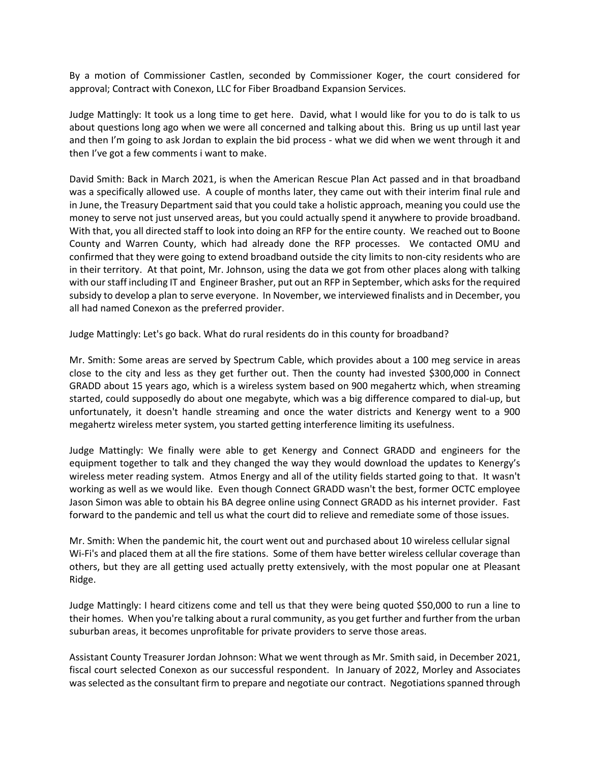By a motion of Commissioner Castlen, seconded by Commissioner Koger, the court considered for approval; Contract with Conexon, LLC for Fiber Broadband Expansion Services.

Judge Mattingly: It took us a long time to get here. David, what I would like for you to do is talk to us about questions long ago when we were all concerned and talking about this. Bring us up until last year and then I'm going to ask Jordan to explain the bid process - what we did when we went through it and then I've got a few comments i want to make.

David Smith: Back in March 2021, is when the American Rescue Plan Act passed and in that broadband was a specifically allowed use. A couple of months later, they came out with their interim final rule and in June, the Treasury Department said that you could take a holistic approach, meaning you could use the money to serve not just unserved areas, but you could actually spend it anywhere to provide broadband. With that, you all directed staff to look into doing an RFP for the entire county. We reached out to Boone County and Warren County, which had already done the RFP processes. We contacted OMU and confirmed that they were going to extend broadband outside the city limits to non-city residents who are in their territory. At that point, Mr. Johnson, using the data we got from other places along with talking with our staff including IT and Engineer Brasher, put out an RFP in September, which asks for the required subsidy to develop a plan to serve everyone. In November, we interviewed finalists and in December, you all had named Conexon as the preferred provider.

Judge Mattingly: Let's go back. What do rural residents do in this county for broadband?

Mr. Smith: Some areas are served by Spectrum Cable, which provides about a 100 meg service in areas close to the city and less as they get further out. Then the county had invested \$300,000 in Connect GRADD about 15 years ago, which is a wireless system based on 900 megahertz which, when streaming started, could supposedly do about one megabyte, which was a big difference compared to dial-up, but unfortunately, it doesn't handle streaming and once the water districts and Kenergy went to a 900 megahertz wireless meter system, you started getting interference limiting its usefulness.

Judge Mattingly: We finally were able to get Kenergy and Connect GRADD and engineers for the equipment together to talk and they changed the way they would download the updates to Kenergy's wireless meter reading system. Atmos Energy and all of the utility fields started going to that. It wasn't working as well as we would like. Even though Connect GRADD wasn't the best, former OCTC employee Jason Simon was able to obtain his BA degree online using Connect GRADD as his internet provider. Fast forward to the pandemic and tell us what the court did to relieve and remediate some of those issues.

Mr. Smith: When the pandemic hit, the court went out and purchased about 10 wireless cellular signal Wi-Fi's and placed them at all the fire stations. Some of them have better wireless cellular coverage than others, but they are all getting used actually pretty extensively, with the most popular one at Pleasant Ridge.

Judge Mattingly: I heard citizens come and tell us that they were being quoted \$50,000 to run a line to their homes. When you're talking about a rural community, as you get further and further from the urban suburban areas, it becomes unprofitable for private providers to serve those areas.

Assistant County Treasurer Jordan Johnson: What we went through as Mr. Smith said, in December 2021, fiscal court selected Conexon as our successful respondent. In January of 2022, Morley and Associates was selected as the consultant firm to prepare and negotiate our contract. Negotiations spanned through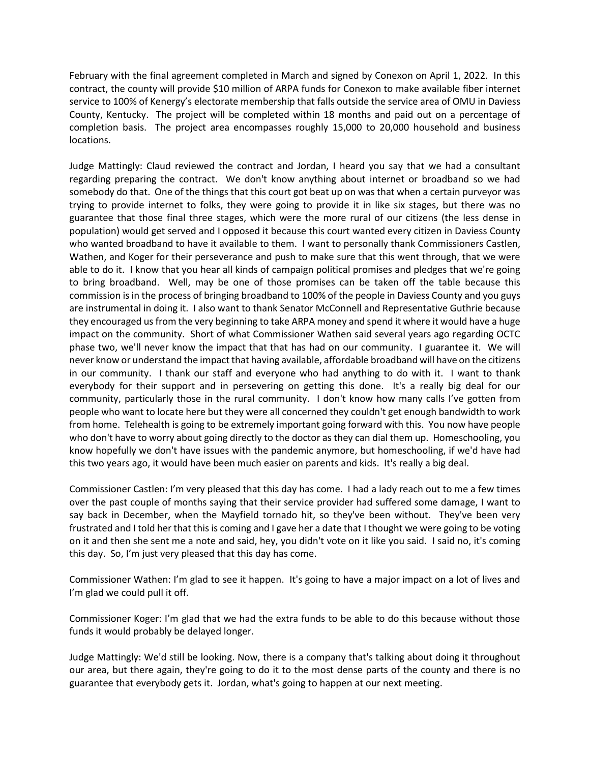February with the final agreement completed in March and signed by Conexon on April 1, 2022. In this contract, the county will provide \$10 million of ARPA funds for Conexon to make available fiber internet service to 100% of Kenergy's electorate membership that falls outside the service area of OMU in Daviess County, Kentucky. The project will be completed within 18 months and paid out on a percentage of completion basis. The project area encompasses roughly 15,000 to 20,000 household and business locations.

Judge Mattingly: Claud reviewed the contract and Jordan, I heard you say that we had a consultant regarding preparing the contract. We don't know anything about internet or broadband so we had somebody do that. One of the things that this court got beat up on was that when a certain purveyor was trying to provide internet to folks, they were going to provide it in like six stages, but there was no guarantee that those final three stages, which were the more rural of our citizens (the less dense in population) would get served and I opposed it because this court wanted every citizen in Daviess County who wanted broadband to have it available to them. I want to personally thank Commissioners Castlen, Wathen, and Koger for their perseverance and push to make sure that this went through, that we were able to do it. I know that you hear all kinds of campaign political promises and pledges that we're going to bring broadband. Well, may be one of those promises can be taken off the table because this commission is in the process of bringing broadband to 100% of the people in Daviess County and you guys are instrumental in doing it. I also want to thank Senator McConnell and Representative Guthrie because they encouraged us from the very beginning to take ARPA money and spend it where it would have a huge impact on the community. Short of what Commissioner Wathen said several years ago regarding OCTC phase two, we'll never know the impact that that has had on our community. I guarantee it. We will never know or understand the impact that having available, affordable broadband will have on the citizens in our community. I thank our staff and everyone who had anything to do with it. I want to thank everybody for their support and in persevering on getting this done. It's a really big deal for our community, particularly those in the rural community. I don't know how many calls I've gotten from people who want to locate here but they were all concerned they couldn't get enough bandwidth to work from home. Telehealth is going to be extremely important going forward with this. You now have people who don't have to worry about going directly to the doctor as they can dial them up. Homeschooling, you know hopefully we don't have issues with the pandemic anymore, but homeschooling, if we'd have had this two years ago, it would have been much easier on parents and kids. It's really a big deal.

Commissioner Castlen: I'm very pleased that this day has come. I had a lady reach out to me a few times over the past couple of months saying that their service provider had suffered some damage, I want to say back in December, when the Mayfield tornado hit, so they've been without. They've been very frustrated and I told her that this is coming and I gave her a date that I thought we were going to be voting on it and then she sent me a note and said, hey, you didn't vote on it like you said. I said no, it's coming this day. So, I'm just very pleased that this day has come.

Commissioner Wathen: I'm glad to see it happen. It's going to have a major impact on a lot of lives and I'm glad we could pull it off.

Commissioner Koger: I'm glad that we had the extra funds to be able to do this because without those funds it would probably be delayed longer.

Judge Mattingly: We'd still be looking. Now, there is a company that's talking about doing it throughout our area, but there again, they're going to do it to the most dense parts of the county and there is no guarantee that everybody gets it. Jordan, what's going to happen at our next meeting.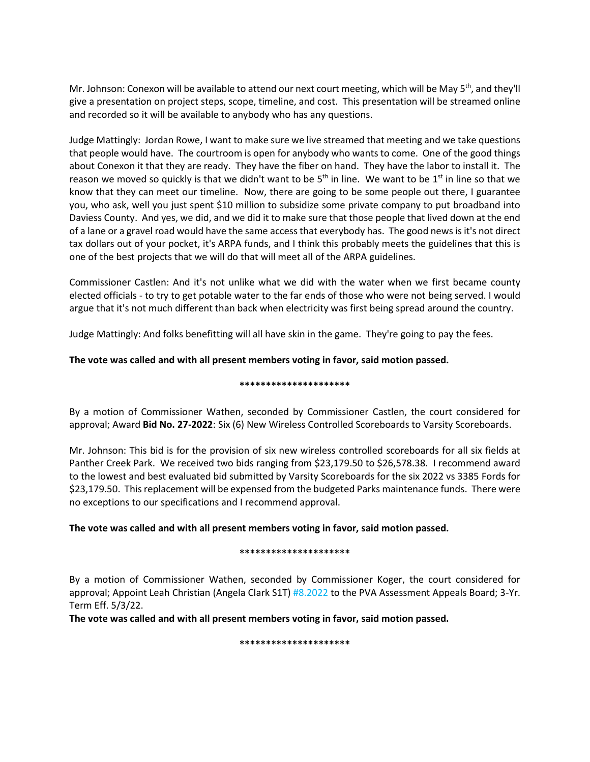Mr. Johnson: Conexon will be available to attend our next court meeting, which will be May 5<sup>th</sup>, and they'll give a presentation on project steps, scope, timeline, and cost. This presentation will be streamed online and recorded so it will be available to anybody who has any questions.

Judge Mattingly: Jordan Rowe, I want to make sure we live streamed that meeting and we take questions that people would have. The courtroom is open for anybody who wants to come. One of the good things about Conexon it that they are ready. They have the fiber on hand. They have the labor to install it. The reason we moved so quickly is that we didn't want to be 5<sup>th</sup> in line. We want to be 1<sup>st</sup> in line so that we know that they can meet our timeline. Now, there are going to be some people out there, I guarantee you, who ask, well you just spent \$10 million to subsidize some private company to put broadband into Daviess County. And yes, we did, and we did it to make sure that those people that lived down at the end of a lane or a gravel road would have the same access that everybody has. The good news is it's not direct tax dollars out of your pocket, it's ARPA funds, and I think this probably meets the guidelines that this is one of the best projects that we will do that will meet all of the ARPA guidelines.

Commissioner Castlen: And it's not unlike what we did with the water when we first became county elected officials - to try to get potable water to the far ends of those who were not being served. I would argue that it's not much different than back when electricity was first being spread around the country.

Judge Mattingly: And folks benefitting will all have skin in the game. They're going to pay the fees.

# **The vote was called and with all present members voting in favor, said motion passed.**

## **\*\*\*\*\*\*\*\*\*\*\*\*\*\*\*\*\*\*\*\*\***

By a motion of Commissioner Wathen, seconded by Commissioner Castlen, the court considered for approval; Award **Bid No. 27-2022**: Six (6) New Wireless Controlled Scoreboards to Varsity Scoreboards.

Mr. Johnson: This bid is for the provision of six new wireless controlled scoreboards for all six fields at Panther Creek Park. We received two bids ranging from \$23,179.50 to \$26,578.38. I recommend award to the lowest and best evaluated bid submitted by Varsity Scoreboards for the six 2022 vs 3385 Fords for \$23,179.50. This replacement will be expensed from the budgeted Parks maintenance funds. There were no exceptions to our specifications and I recommend approval.

# **The vote was called and with all present members voting in favor, said motion passed.**

## **\*\*\*\*\*\*\*\*\*\*\*\*\*\*\*\*\*\*\*\*\***

By a motion of Commissioner Wathen, seconded by Commissioner Koger, the court considered for approval; Appoint Leah Christian (Angela Clark S1T) #8.2022 to the PVA Assessment Appeals Board; 3-Yr. Term Eff. 5/3/22.

**The vote was called and with all present members voting in favor, said motion passed.**

#### **\*\*\*\*\*\*\*\*\*\*\*\*\*\*\*\*\*\*\*\*\***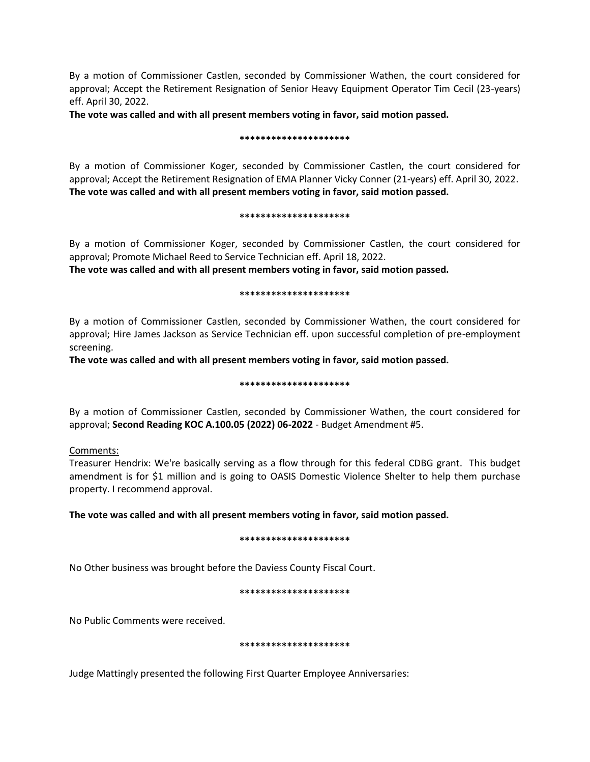By a motion of Commissioner Castlen, seconded by Commissioner Wathen, the court considered for approval; Accept the Retirement Resignation of Senior Heavy Equipment Operator Tim Cecil (23-years) eff. April 30, 2022.

**The vote was called and with all present members voting in favor, said motion passed.**

### **\*\*\*\*\*\*\*\*\*\*\*\*\*\*\*\*\*\*\*\*\***

By a motion of Commissioner Koger, seconded by Commissioner Castlen, the court considered for approval; Accept the Retirement Resignation of EMA Planner Vicky Conner (21-years) eff. April 30, 2022. **The vote was called and with all present members voting in favor, said motion passed.**

#### **\*\*\*\*\*\*\*\*\*\*\*\*\*\*\*\*\*\*\*\*\***

By a motion of Commissioner Koger, seconded by Commissioner Castlen, the court considered for approval; Promote Michael Reed to Service Technician eff. April 18, 2022.

**The vote was called and with all present members voting in favor, said motion passed.**

### **\*\*\*\*\*\*\*\*\*\*\*\*\*\*\*\*\*\*\*\*\***

By a motion of Commissioner Castlen, seconded by Commissioner Wathen, the court considered for approval; Hire James Jackson as Service Technician eff. upon successful completion of pre-employment screening.

**The vote was called and with all present members voting in favor, said motion passed.**

## **\*\*\*\*\*\*\*\*\*\*\*\*\*\*\*\*\*\*\*\*\***

By a motion of Commissioner Castlen, seconded by Commissioner Wathen, the court considered for approval; **Second Reading KOC A.100.05 (2022) 06-2022** - Budget Amendment #5.

Comments:

Treasurer Hendrix: We're basically serving as a flow through for this federal CDBG grant. This budget amendment is for \$1 million and is going to OASIS Domestic Violence Shelter to help them purchase property. I recommend approval.

# **The vote was called and with all present members voting in favor, said motion passed.**

## **\*\*\*\*\*\*\*\*\*\*\*\*\*\*\*\*\*\*\*\*\***

No Other business was brought before the Daviess County Fiscal Court.

## **\*\*\*\*\*\*\*\*\*\*\*\*\*\*\*\*\*\*\*\*\***

No Public Comments were received.

## **\*\*\*\*\*\*\*\*\*\*\*\*\*\*\*\*\*\*\*\*\***

Judge Mattingly presented the following First Quarter Employee Anniversaries: